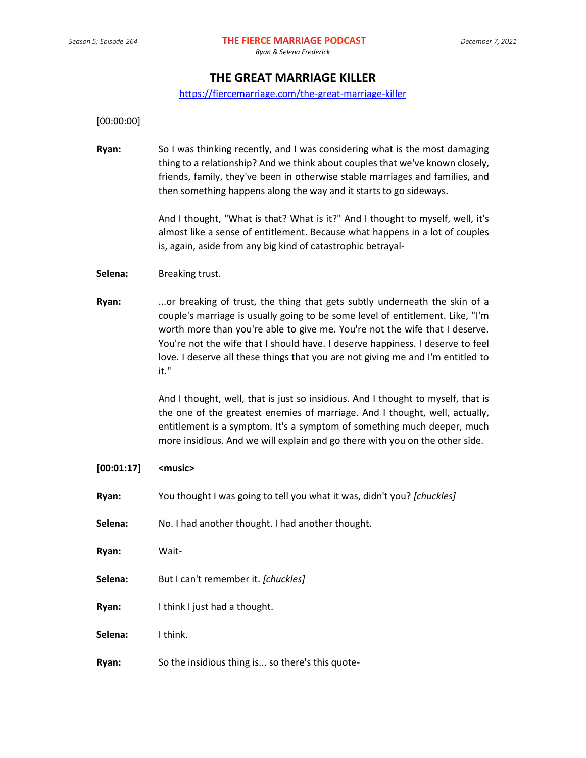# **THE GREAT MARRIAGE KILLER**

### <https://fiercemarriage.com/the-great-marriage-killer>

[00:00:00]

**Ryan:** So I was thinking recently, and I was considering what is the most damaging thing to a relationship? And we think about couples that we've known closely, friends, family, they've been in otherwise stable marriages and families, and then something happens along the way and it starts to go sideways.

> And I thought, "What is that? What is it?" And I thought to myself, well, it's almost like a sense of entitlement. Because what happens in a lot of couples is, again, aside from any big kind of catastrophic betrayal-

#### **Selena:** Breaking trust.

**Ryan:** ...or breaking of trust, the thing that gets subtly underneath the skin of a couple's marriage is usually going to be some level of entitlement. Like, "I'm worth more than you're able to give me. You're not the wife that I deserve. You're not the wife that I should have. I deserve happiness. I deserve to feel love. I deserve all these things that you are not giving me and I'm entitled to it."

> And I thought, well, that is just so insidious. And I thought to myself, that is the one of the greatest enemies of marriage. And I thought, well, actually, entitlement is a symptom. It's a symptom of something much deeper, much more insidious. And we will explain and go there with you on the other side.

# **[00:01:17] <music>**

- **Ryan:** You thought I was going to tell you what it was, didn't you? *[chuckles]*
- **Selena:** No. I had another thought. I had another thought.
- **Ryan:** Wait-
- **Selena:** But I can't remember it. *[chuckles]*
- **Ryan:** I think I just had a thought.

**Selena:** I think.

**Ryan:** So the insidious thing is... so there's this quote-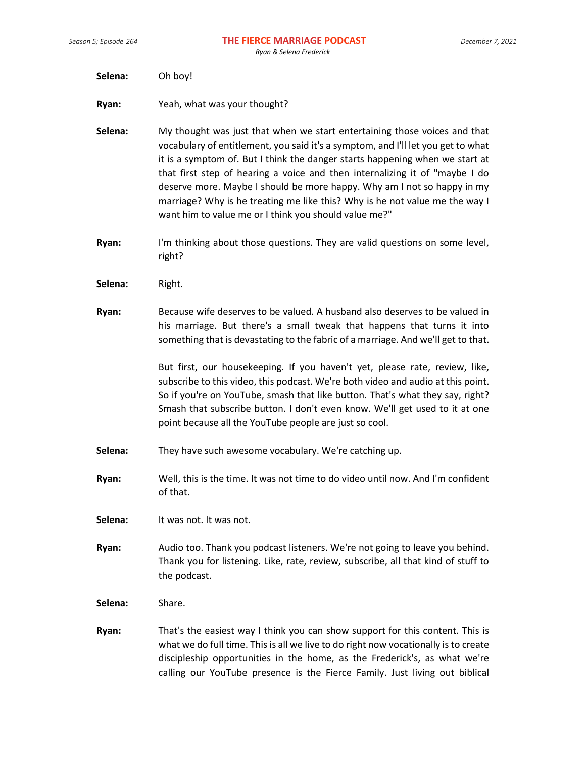- **Selena:** Oh boy!
- **Ryan:** Yeah, what was your thought?

**Selena:** My thought was just that when we start entertaining those voices and that vocabulary of entitlement, you said it's a symptom, and I'll let you get to what it is a symptom of. But I think the danger starts happening when we start at that first step of hearing a voice and then internalizing it of "maybe I do deserve more. Maybe I should be more happy. Why am I not so happy in my marriage? Why is he treating me like this? Why is he not value me the way I want him to value me or I think you should value me?"

- **Ryan:** I'm thinking about those questions. They are valid questions on some level, right?
- **Selena:** Right.
- **Ryan:** Because wife deserves to be valued. A husband also deserves to be valued in his marriage. But there's a small tweak that happens that turns it into something that is devastating to the fabric of a marriage. And we'll get to that.

But first, our housekeeping. If you haven't yet, please rate, review, like, subscribe to this video, this podcast. We're both video and audio at this point. So if you're on YouTube, smash that like button. That's what they say, right? Smash that subscribe button. I don't even know. We'll get used to it at one point because all the YouTube people are just so cool.

- **Selena:** They have such awesome vocabulary. We're catching up.
- **Ryan:** Well, this is the time. It was not time to do video until now. And I'm confident of that.
- **Selena:** It was not. It was not.
- **Ryan:** Audio too. Thank you podcast listeners. We're not going to leave you behind. Thank you for listening. Like, rate, review, subscribe, all that kind of stuff to the podcast.
- **Selena:** Share.
- **Ryan:** That's the easiest way I think you can show support for this content. This is what we do full time. This is all we live to do right now vocationally is to create discipleship opportunities in the home, as the Frederick's, as what we're calling our YouTube presence is the Fierce Family. Just living out biblical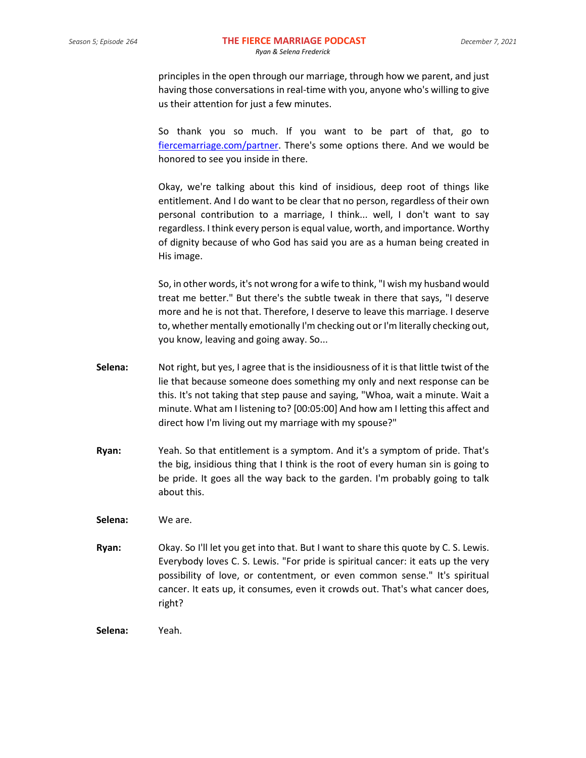principles in the open through our marriage, through how we parent, and just having those conversations in real-time with you, anyone who's willing to give us their attention for just a few minutes.

So thank you so much. If you want to be part of that, go to [fiercemarriage.com/partner.](http://www.fiercemarriage.com/partner) There's some options there. And we would be honored to see you inside in there.

Okay, we're talking about this kind of insidious, deep root of things like entitlement. And I do want to be clear that no person, regardless of their own personal contribution to a marriage, I think... well, I don't want to say regardless. I think every person is equal value, worth, and importance. Worthy of dignity because of who God has said you are as a human being created in His image.

So, in other words, it's not wrong for a wife to think, "I wish my husband would treat me better." But there's the subtle tweak in there that says, "I deserve more and he is not that. Therefore, I deserve to leave this marriage. I deserve to, whether mentally emotionally I'm checking out or I'm literally checking out, you know, leaving and going away. So...

- **Selena:** Not right, but yes, I agree that is the insidiousness of it is that little twist of the lie that because someone does something my only and next response can be this. It's not taking that step pause and saying, "Whoa, wait a minute. Wait a minute. What am I listening to? [00:05:00] And how am I letting this affect and direct how I'm living out my marriage with my spouse?"
- **Ryan:** Yeah. So that entitlement is a symptom. And it's a symptom of pride. That's the big, insidious thing that I think is the root of every human sin is going to be pride. It goes all the way back to the garden. I'm probably going to talk about this.
- **Selena:** We are.
- **Ryan:** Okay. So I'll let you get into that. But I want to share this quote by C. S. Lewis. Everybody loves C. S. Lewis. "For pride is spiritual cancer: it eats up the very possibility of love, or contentment, or even common sense." It's spiritual cancer. It eats up, it consumes, even it crowds out. That's what cancer does, right?
- **Selena:** Yeah.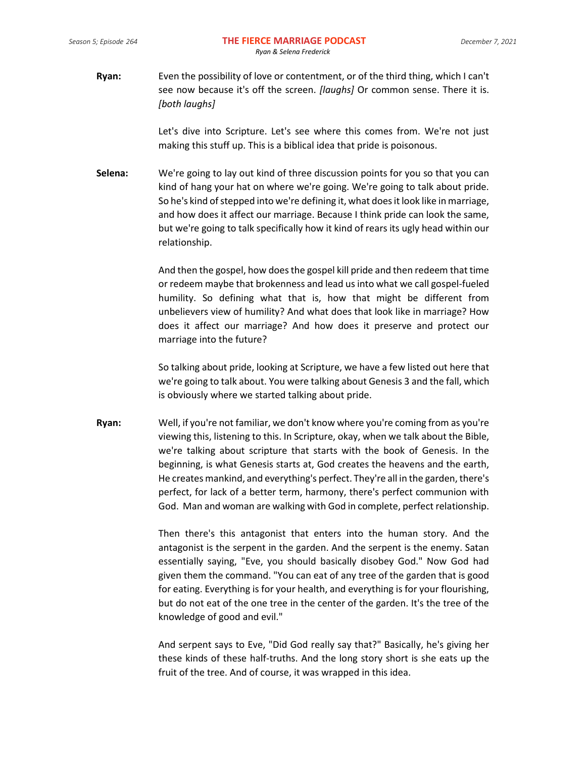**Ryan:** Even the possibility of love or contentment, or of the third thing, which I can't see now because it's off the screen. *[laughs]* Or common sense. There it is. *[both laughs]*

> Let's dive into Scripture. Let's see where this comes from. We're not just making this stuff up. This is a biblical idea that pride is poisonous.

**Selena:** We're going to lay out kind of three discussion points for you so that you can kind of hang your hat on where we're going. We're going to talk about pride. So he's kind of stepped into we're defining it, what does it look like in marriage, and how does it affect our marriage. Because I think pride can look the same, but we're going to talk specifically how it kind of rears its ugly head within our relationship.

> And then the gospel, how does the gospel kill pride and then redeem that time or redeem maybe that brokenness and lead us into what we call gospel-fueled humility. So defining what that is, how that might be different from unbelievers view of humility? And what does that look like in marriage? How does it affect our marriage? And how does it preserve and protect our marriage into the future?

> So talking about pride, looking at Scripture, we have a few listed out here that we're going to talk about. You were talking about Genesis 3 and the fall, which is obviously where we started talking about pride.

**Ryan:** Well, if you're not familiar, we don't know where you're coming from as you're viewing this, listening to this. In Scripture, okay, when we talk about the Bible, we're talking about scripture that starts with the book of Genesis. In the beginning, is what Genesis starts at, God creates the heavens and the earth, He creates mankind, and everything's perfect. They're all in the garden, there's perfect, for lack of a better term, harmony, there's perfect communion with God. Man and woman are walking with God in complete, perfect relationship.

> Then there's this antagonist that enters into the human story. And the antagonist is the serpent in the garden. And the serpent is the enemy. Satan essentially saying, "Eve, you should basically disobey God." Now God had given them the command. "You can eat of any tree of the garden that is good for eating. Everything is for your health, and everything is for your flourishing, but do not eat of the one tree in the center of the garden. It's the tree of the knowledge of good and evil."

> And serpent says to Eve, "Did God really say that?" Basically, he's giving her these kinds of these half-truths. And the long story short is she eats up the fruit of the tree. And of course, it was wrapped in this idea.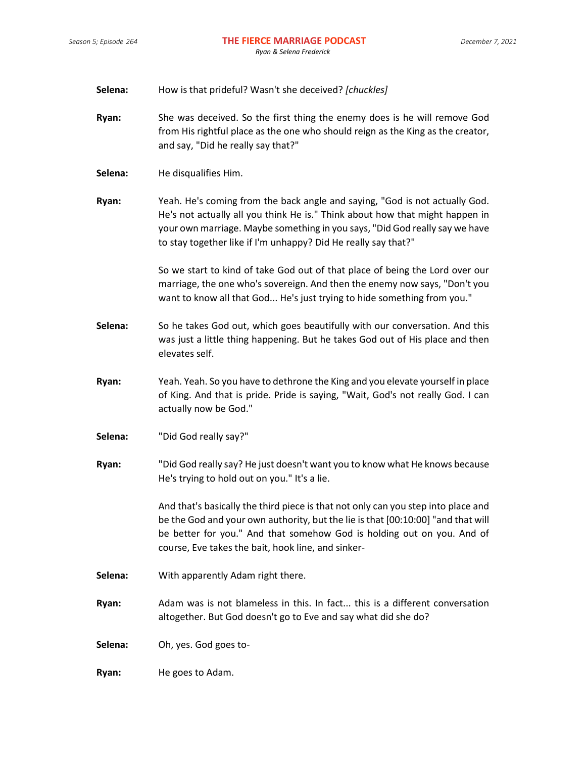| Selena: |  | How is that prideful? Wasn't she deceived? [chuckles] |  |
|---------|--|-------------------------------------------------------|--|
|---------|--|-------------------------------------------------------|--|

- **Ryan:** She was deceived. So the first thing the enemy does is he will remove God from His rightful place as the one who should reign as the King as the creator, and say, "Did he really say that?"
- **Selena:** He disqualifies Him.

**Ryan:** Yeah. He's coming from the back angle and saying, "God is not actually God. He's not actually all you think He is." Think about how that might happen in your own marriage. Maybe something in you says, "Did God really say we have to stay together like if I'm unhappy? Did He really say that?"

> So we start to kind of take God out of that place of being the Lord over our marriage, the one who's sovereign. And then the enemy now says, "Don't you want to know all that God... He's just trying to hide something from you."

- **Selena:** So he takes God out, which goes beautifully with our conversation. And this was just a little thing happening. But he takes God out of His place and then elevates self.
- **Ryan:** Yeah. Yeah. So you have to dethrone the King and you elevate yourself in place of King. And that is pride. Pride is saying, "Wait, God's not really God. I can actually now be God."
- **Selena:** "Did God really say?"
- **Ryan:** "Did God really say? He just doesn't want you to know what He knows because He's trying to hold out on you." It's a lie.

And that's basically the third piece is that not only can you step into place and be the God and your own authority, but the lie is that [00:10:00] "and that will be better for you." And that somehow God is holding out on you. And of course, Eve takes the bait, hook line, and sinker-

- **Selena:** With apparently Adam right there.
- **Ryan:** Adam was is not blameless in this. In fact... this is a different conversation altogether. But God doesn't go to Eve and say what did she do?

**Selena:** Oh, yes. God goes to-

**Ryan:** He goes to Adam.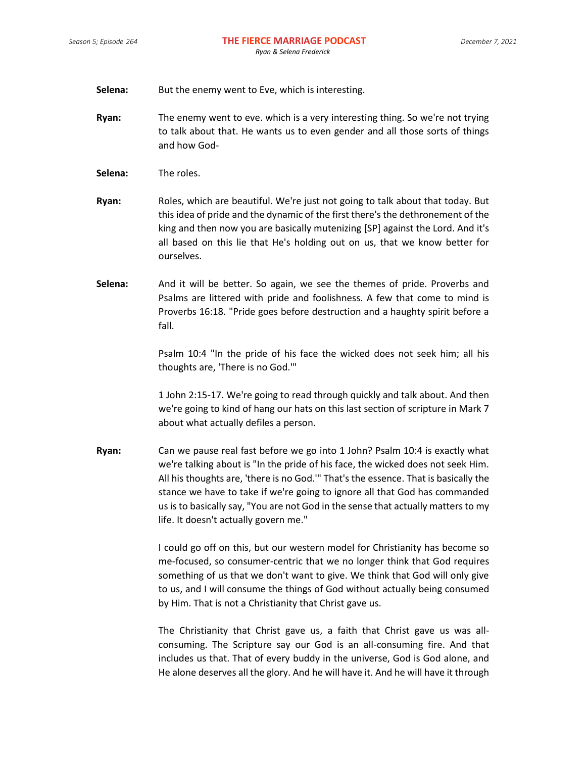- **Selena:** But the enemy went to Eve, which is interesting.
- **Ryan:** The enemy went to eve. which is a very interesting thing. So we're not trying to talk about that. He wants us to even gender and all those sorts of things and how God-
- **Selena:** The roles.
- **Ryan:** Roles, which are beautiful. We're just not going to talk about that today. But this idea of pride and the dynamic of the first there's the dethronement of the king and then now you are basically mutenizing [SP] against the Lord. And it's all based on this lie that He's holding out on us, that we know better for ourselves.
- **Selena:** And it will be better. So again, we see the themes of pride. Proverbs and Psalms are littered with pride and foolishness. A few that come to mind is Proverbs 16:18. "Pride goes before destruction and a haughty spirit before a fall.

Psalm 10:4 "In the pride of his face the wicked does not seek him; all his thoughts are, 'There is no God.'"

1 John 2:15-17. We're going to read through quickly and talk about. And then we're going to kind of hang our hats on this last section of scripture in Mark 7 about what actually defiles a person.

**Ryan:** Can we pause real fast before we go into 1 John? Psalm 10:4 is exactly what we're talking about is "In the pride of his face, the wicked does not seek Him. All his thoughts are, 'there is no God.'" That's the essence. That is basically the stance we have to take if we're going to ignore all that God has commanded us is to basically say, "You are not God in the sense that actually matters to my life. It doesn't actually govern me."

> I could go off on this, but our western model for Christianity has become so me-focused, so consumer-centric that we no longer think that God requires something of us that we don't want to give. We think that God will only give to us, and I will consume the things of God without actually being consumed by Him. That is not a Christianity that Christ gave us.

> The Christianity that Christ gave us, a faith that Christ gave us was allconsuming. The Scripture say our God is an all-consuming fire. And that includes us that. That of every buddy in the universe, God is God alone, and He alone deserves all the glory. And he will have it. And he will have it through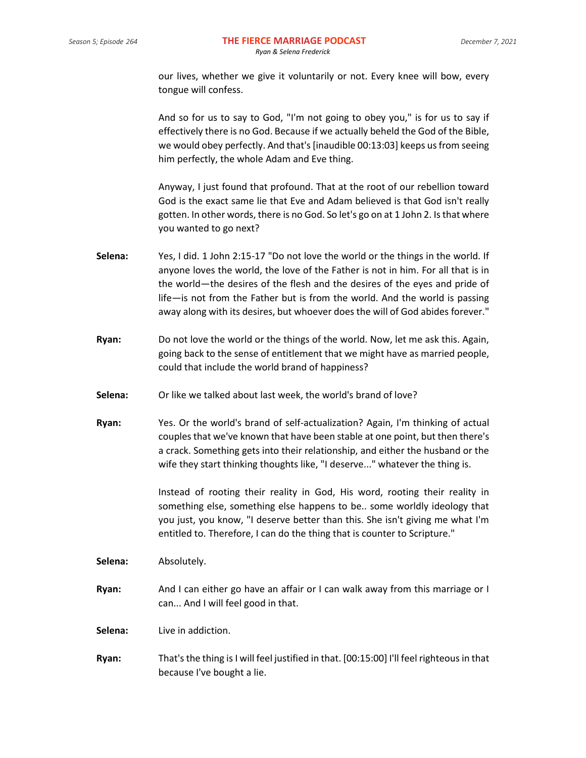our lives, whether we give it voluntarily or not. Every knee will bow, every tongue will confess.

And so for us to say to God, "I'm not going to obey you," is for us to say if effectively there is no God. Because if we actually beheld the God of the Bible, we would obey perfectly. And that's [inaudible 00:13:03] keeps us from seeing him perfectly, the whole Adam and Eve thing.

Anyway, I just found that profound. That at the root of our rebellion toward God is the exact same lie that Eve and Adam believed is that God isn't really gotten. In other words, there is no God. So let's go on at 1 John 2. Is that where you wanted to go next?

- **Selena:** Yes, I did. 1 John 2:15-17 "Do not love the world or the things in the world. If anyone loves the world, the love of the Father is not in him. For all that is in the world—the desires of the flesh and the desires of the eyes and pride of life—is not from the Father but is from the world. And the world is passing away along with its desires, but whoever does the will of God abides forever."
- **Ryan:** Do not love the world or the things of the world. Now, let me ask this. Again, going back to the sense of entitlement that we might have as married people, could that include the world brand of happiness?
- **Selena:** Or like we talked about last week, the world's brand of love?
- **Ryan:** Yes. Or the world's brand of self-actualization? Again, I'm thinking of actual couples that we've known that have been stable at one point, but then there's a crack. Something gets into their relationship, and either the husband or the wife they start thinking thoughts like, "I deserve..." whatever the thing is.

Instead of rooting their reality in God, His word, rooting their reality in something else, something else happens to be.. some worldly ideology that you just, you know, "I deserve better than this. She isn't giving me what I'm entitled to. Therefore, I can do the thing that is counter to Scripture."

**Selena:** Absolutely.

**Ryan:** And I can either go have an affair or I can walk away from this marriage or I can... And I will feel good in that.

**Selena:** Live in addiction.

**Ryan:** That's the thing is I will feel justified in that. [00:15:00] I'll feel righteous in that because I've bought a lie.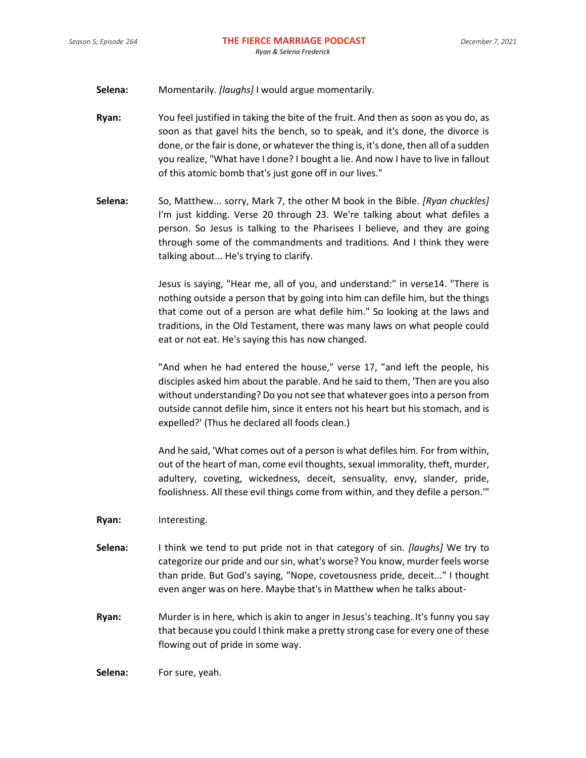- **Selena:** Momentarily. *[laughs]* I would argue momentarily.
- **Ryan:** You feel justified in taking the bite of the fruit. And then as soon as you do, as soon as that gavel hits the bench, so to speak, and it's done, the divorce is done, or the fair is done, or whatever the thing is, it's done, then all of a sudden you realize, "What have I done? I bought a lie. And now I have to live in fallout of this atomic bomb that's just gone off in our lives."
- **Selena:** So, Matthew... sorry, Mark 7, the other M book in the Bible. *[Ryan chuckles]* I'm just kidding. Verse 20 through 23. We're talking about what defiles a person. So Jesus is talking to the Pharisees I believe, and they are going through some of the commandments and traditions. And I think they were talking about... He's trying to clarify.

Jesus is saying, "Hear me, all of you, and understand:" in verse14. "There is nothing outside a person that by going into him can defile him, but the things that come out of a person are what defile him." So looking at the laws and traditions, in the Old Testament, there was many laws on what people could eat or not eat. He's saying this has now changed.

"And when he had entered the house," verse 17, "and left the people, his disciples asked him about the parable. And he said to them, 'Then are you also without understanding? Do you not see that whatever goes into a person from outside cannot defile him, since it enters not his heart but his stomach, and is expelled?' (Thus he declared all foods clean.)

And he said, 'What comes out of a person is what defiles him. For from within, out of the heart of man, come evil thoughts, sexual immorality, theft, murder, adultery, coveting, wickedness, deceit, sensuality, envy, slander, pride, foolishness. All these evil things come from within, and they defile a person.'"

- **Ryan:** Interesting.
- **Selena:** I think we tend to put pride not in that category of sin. *[laughs]* We try to categorize our pride and our sin, what's worse? You know, murder feels worse than pride. But God's saying, "Nope, covetousness pride, deceit..." I thought even anger was on here. Maybe that's in Matthew when he talks about-
- **Ryan:** Murder is in here, which is akin to anger in Jesus's teaching. It's funny you say that because you could I think make a pretty strong case for every one of these flowing out of pride in some way.

**Selena:** For sure, yeah.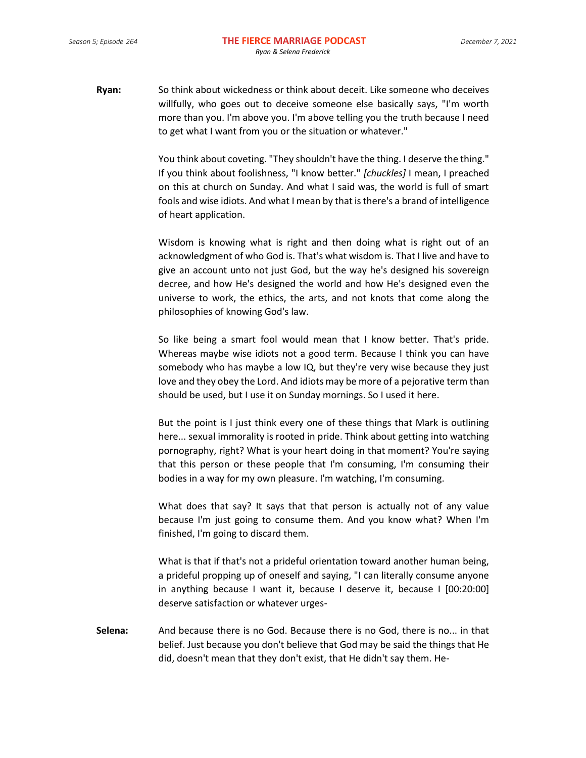**Ryan:** So think about wickedness or think about deceit. Like someone who deceives willfully, who goes out to deceive someone else basically says, "I'm worth more than you. I'm above you. I'm above telling you the truth because I need to get what I want from you or the situation or whatever."

> You think about coveting. "They shouldn't have the thing. I deserve the thing." If you think about foolishness, "I know better." *[chuckles]* I mean, I preached on this at church on Sunday. And what I said was, the world is full of smart fools and wise idiots. And what I mean by that is there's a brand of intelligence of heart application.

> Wisdom is knowing what is right and then doing what is right out of an acknowledgment of who God is. That's what wisdom is. That I live and have to give an account unto not just God, but the way he's designed his sovereign decree, and how He's designed the world and how He's designed even the universe to work, the ethics, the arts, and not knots that come along the philosophies of knowing God's law.

> So like being a smart fool would mean that I know better. That's pride. Whereas maybe wise idiots not a good term. Because I think you can have somebody who has maybe a low IQ, but they're very wise because they just love and they obey the Lord. And idiots may be more of a pejorative term than should be used, but I use it on Sunday mornings. So I used it here.

> But the point is I just think every one of these things that Mark is outlining here... sexual immorality is rooted in pride. Think about getting into watching pornography, right? What is your heart doing in that moment? You're saying that this person or these people that I'm consuming, I'm consuming their bodies in a way for my own pleasure. I'm watching, I'm consuming.

> What does that say? It says that that person is actually not of any value because I'm just going to consume them. And you know what? When I'm finished, I'm going to discard them.

> What is that if that's not a prideful orientation toward another human being, a prideful propping up of oneself and saying, "I can literally consume anyone in anything because I want it, because I deserve it, because I [00:20:00] deserve satisfaction or whatever urges-

**Selena:** And because there is no God. Because there is no God, there is no... in that belief. Just because you don't believe that God may be said the things that He did, doesn't mean that they don't exist, that He didn't say them. He-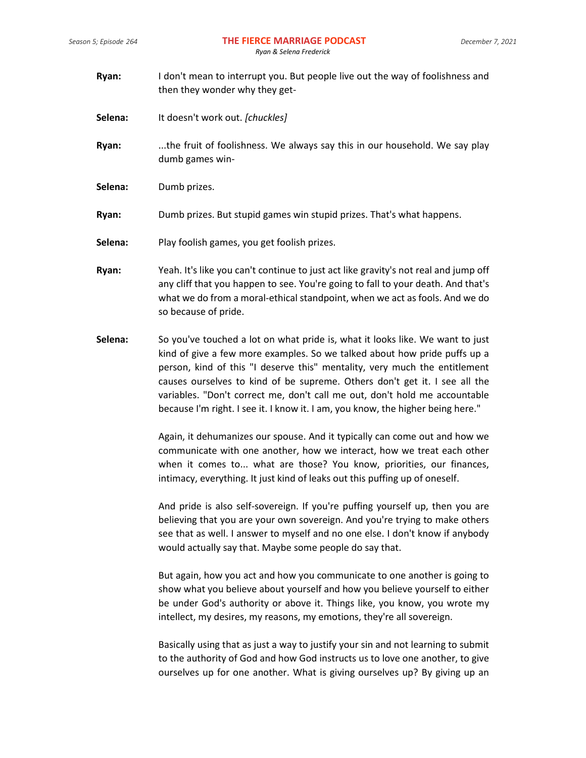- **Ryan:** I don't mean to interrupt you. But people live out the way of foolishness and then they wonder why they get-
- **Selena:** It doesn't work out. *[chuckles]*
- **Ryan:** ...the fruit of foolishness. We always say this in our household. We say play dumb games win-
- **Selena:** Dumb prizes.
- **Ryan:** Dumb prizes. But stupid games win stupid prizes. That's what happens.
- **Selena:** Play foolish games, you get foolish prizes.
- **Ryan:** Yeah. It's like you can't continue to just act like gravity's not real and jump off any cliff that you happen to see. You're going to fall to your death. And that's what we do from a moral-ethical standpoint, when we act as fools. And we do so because of pride.
- **Selena:** So you've touched a lot on what pride is, what it looks like. We want to just kind of give a few more examples. So we talked about how pride puffs up a person, kind of this "I deserve this" mentality, very much the entitlement causes ourselves to kind of be supreme. Others don't get it. I see all the variables. "Don't correct me, don't call me out, don't hold me accountable because I'm right. I see it. I know it. I am, you know, the higher being here."

Again, it dehumanizes our spouse. And it typically can come out and how we communicate with one another, how we interact, how we treat each other when it comes to... what are those? You know, priorities, our finances, intimacy, everything. It just kind of leaks out this puffing up of oneself.

And pride is also self-sovereign. If you're puffing yourself up, then you are believing that you are your own sovereign. And you're trying to make others see that as well. I answer to myself and no one else. I don't know if anybody would actually say that. Maybe some people do say that.

But again, how you act and how you communicate to one another is going to show what you believe about yourself and how you believe yourself to either be under God's authority or above it. Things like, you know, you wrote my intellect, my desires, my reasons, my emotions, they're all sovereign.

Basically using that as just a way to justify your sin and not learning to submit to the authority of God and how God instructs us to love one another, to give ourselves up for one another. What is giving ourselves up? By giving up an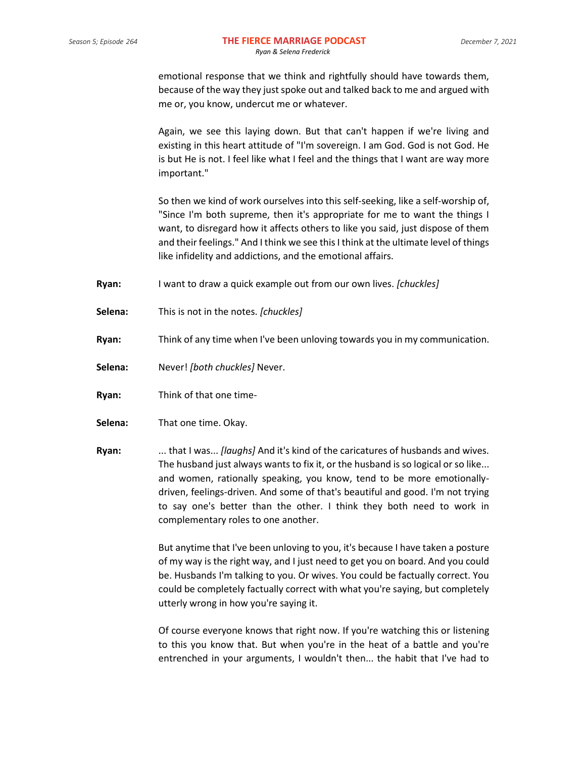emotional response that we think and rightfully should have towards them, because of the way they just spoke out and talked back to me and argued with me or, you know, undercut me or whatever.

Again, we see this laying down. But that can't happen if we're living and existing in this heart attitude of "I'm sovereign. I am God. God is not God. He is but He is not. I feel like what I feel and the things that I want are way more important."

So then we kind of work ourselves into this self-seeking, like a self-worship of, "Since I'm both supreme, then it's appropriate for me to want the things I want, to disregard how it affects others to like you said, just dispose of them and their feelings." And I think we see this I think at the ultimate level of things like infidelity and addictions, and the emotional affairs.

- **Ryan:** I want to draw a quick example out from our own lives. *[chuckles]*
- **Selena:** This is not in the notes. *[chuckles]*
- **Ryan:** Think of any time when I've been unloving towards you in my communication.
- **Selena:** Never! *[both chuckles]* Never.
- **Ryan:** Think of that one time-
- **Selena:** That one time. Okay.
- **Ryan:** ... that I was... *[laughs]* And it's kind of the caricatures of husbands and wives. The husband just always wants to fix it, or the husband is so logical or so like... and women, rationally speaking, you know, tend to be more emotionallydriven, feelings-driven. And some of that's beautiful and good. I'm not trying to say one's better than the other. I think they both need to work in complementary roles to one another.

But anytime that I've been unloving to you, it's because I have taken a posture of my way is the right way, and I just need to get you on board. And you could be. Husbands I'm talking to you. Or wives. You could be factually correct. You could be completely factually correct with what you're saying, but completely utterly wrong in how you're saying it.

Of course everyone knows that right now. If you're watching this or listening to this you know that. But when you're in the heat of a battle and you're entrenched in your arguments, I wouldn't then... the habit that I've had to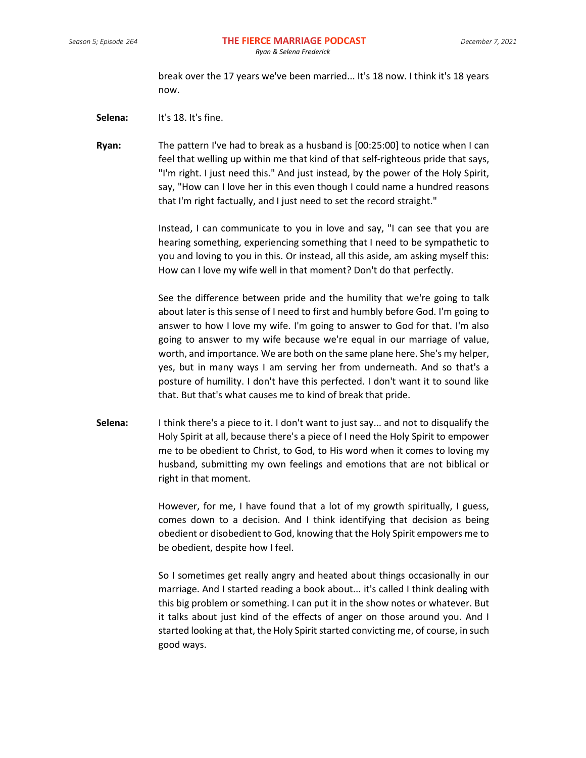break over the 17 years we've been married... It's 18 now. I think it's 18 years now.

- **Selena:** It's 18. It's fine.
- **Ryan:** The pattern I've had to break as a husband is [00:25:00] to notice when I can feel that welling up within me that kind of that self-righteous pride that says, "I'm right. I just need this." And just instead, by the power of the Holy Spirit, say, "How can I love her in this even though I could name a hundred reasons that I'm right factually, and I just need to set the record straight."

Instead, I can communicate to you in love and say, "I can see that you are hearing something, experiencing something that I need to be sympathetic to you and loving to you in this. Or instead, all this aside, am asking myself this: How can I love my wife well in that moment? Don't do that perfectly.

See the difference between pride and the humility that we're going to talk about later is this sense of I need to first and humbly before God. I'm going to answer to how I love my wife. I'm going to answer to God for that. I'm also going to answer to my wife because we're equal in our marriage of value, worth, and importance. We are both on the same plane here. She's my helper, yes, but in many ways I am serving her from underneath. And so that's a posture of humility. I don't have this perfected. I don't want it to sound like that. But that's what causes me to kind of break that pride.

**Selena:** I think there's a piece to it. I don't want to just say... and not to disqualify the Holy Spirit at all, because there's a piece of I need the Holy Spirit to empower me to be obedient to Christ, to God, to His word when it comes to loving my husband, submitting my own feelings and emotions that are not biblical or right in that moment.

> However, for me, I have found that a lot of my growth spiritually, I guess, comes down to a decision. And I think identifying that decision as being obedient or disobedient to God, knowing that the Holy Spirit empowers me to be obedient, despite how I feel.

> So I sometimes get really angry and heated about things occasionally in our marriage. And I started reading a book about... it's called I think dealing with this big problem or something. I can put it in the show notes or whatever. But it talks about just kind of the effects of anger on those around you. And I started looking at that, the Holy Spirit started convicting me, of course, in such good ways.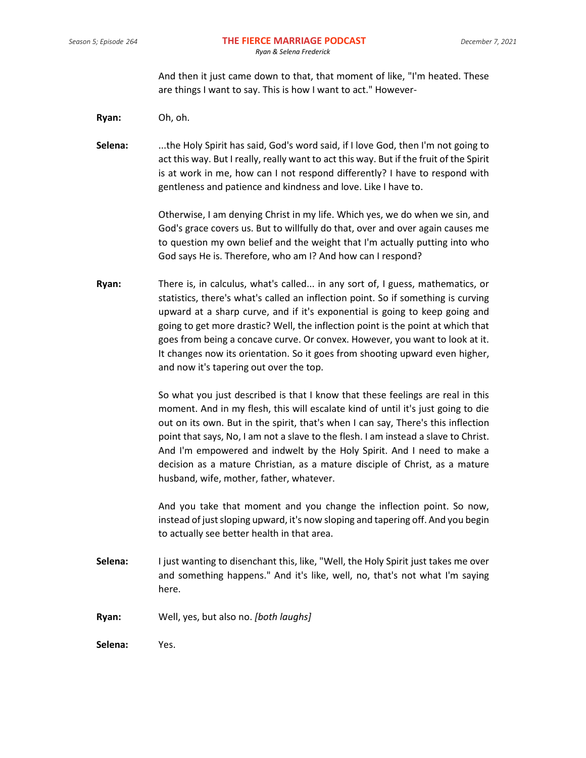And then it just came down to that, that moment of like, "I'm heated. These are things I want to say. This is how I want to act." However-

**Ryan:** Oh, oh.

**Selena:** ...the Holy Spirit has said, God's word said, if I love God, then I'm not going to act this way. But I really, really want to act this way. But if the fruit of the Spirit is at work in me, how can I not respond differently? I have to respond with gentleness and patience and kindness and love. Like I have to.

> Otherwise, I am denying Christ in my life. Which yes, we do when we sin, and God's grace covers us. But to willfully do that, over and over again causes me to question my own belief and the weight that I'm actually putting into who God says He is. Therefore, who am I? And how can I respond?

**Ryan:** There is, in calculus, what's called... in any sort of, I guess, mathematics, or statistics, there's what's called an inflection point. So if something is curving upward at a sharp curve, and if it's exponential is going to keep going and going to get more drastic? Well, the inflection point is the point at which that goes from being a concave curve. Or convex. However, you want to look at it. It changes now its orientation. So it goes from shooting upward even higher, and now it's tapering out over the top.

> So what you just described is that I know that these feelings are real in this moment. And in my flesh, this will escalate kind of until it's just going to die out on its own. But in the spirit, that's when I can say, There's this inflection point that says, No, I am not a slave to the flesh. I am instead a slave to Christ. And I'm empowered and indwelt by the Holy Spirit. And I need to make a decision as a mature Christian, as a mature disciple of Christ, as a mature husband, wife, mother, father, whatever.

> And you take that moment and you change the inflection point. So now, instead of just sloping upward, it's now sloping and tapering off. And you begin to actually see better health in that area.

- **Selena:** I just wanting to disenchant this, like, "Well, the Holy Spirit just takes me over and something happens." And it's like, well, no, that's not what I'm saying here.
- **Ryan:** Well, yes, but also no. *[both laughs]*

**Selena:** Yes.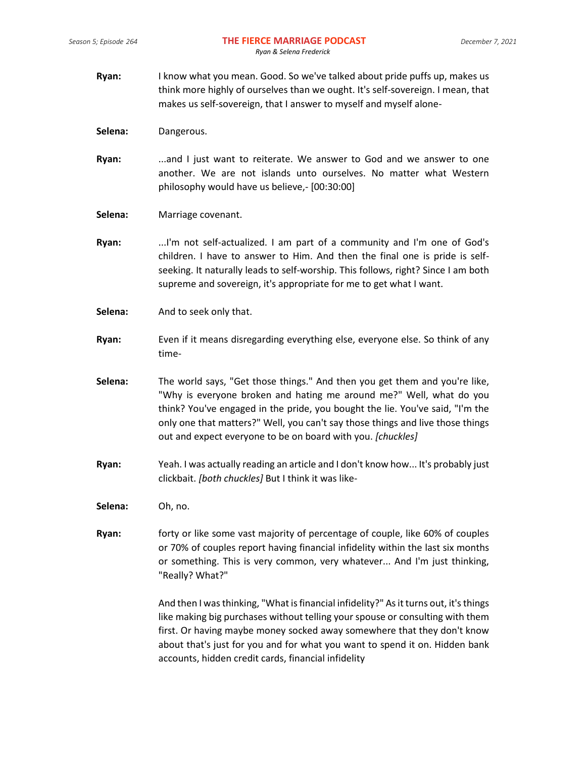- **Ryan:** I know what you mean. Good. So we've talked about pride puffs up, makes us think more highly of ourselves than we ought. It's self-sovereign. I mean, that makes us self-sovereign, that I answer to myself and myself alone-
- **Selena:** Dangerous.
- **Ryan:** ...and I just want to reiterate. We answer to God and we answer to one another. We are not islands unto ourselves. No matter what Western philosophy would have us believe,- [00:30:00]
- **Selena:** Marriage covenant.
- **Ryan:** ...I'm not self-actualized. I am part of a community and I'm one of God's children. I have to answer to Him. And then the final one is pride is selfseeking. It naturally leads to self-worship. This follows, right? Since I am both supreme and sovereign, it's appropriate for me to get what I want.
- **Selena:** And to seek only that.
- **Ryan:** Even if it means disregarding everything else, everyone else. So think of any time-
- **Selena:** The world says, "Get those things." And then you get them and you're like, "Why is everyone broken and hating me around me?" Well, what do you think? You've engaged in the pride, you bought the lie. You've said, "I'm the only one that matters?" Well, you can't say those things and live those things out and expect everyone to be on board with you. *[chuckles]*
- **Ryan:** Yeah. I was actually reading an article and I don't know how... It's probably just clickbait. *[both chuckles]* But I think it was like-
- **Selena:** Oh, no.
- **Ryan:** forty or like some vast majority of percentage of couple, like 60% of couples or 70% of couples report having financial infidelity within the last six months or something. This is very common, very whatever... And I'm just thinking, "Really? What?"

And then I was thinking, "What is financial infidelity?" As it turns out, it's things like making big purchases without telling your spouse or consulting with them first. Or having maybe money socked away somewhere that they don't know about that's just for you and for what you want to spend it on. Hidden bank accounts, hidden credit cards, financial infidelity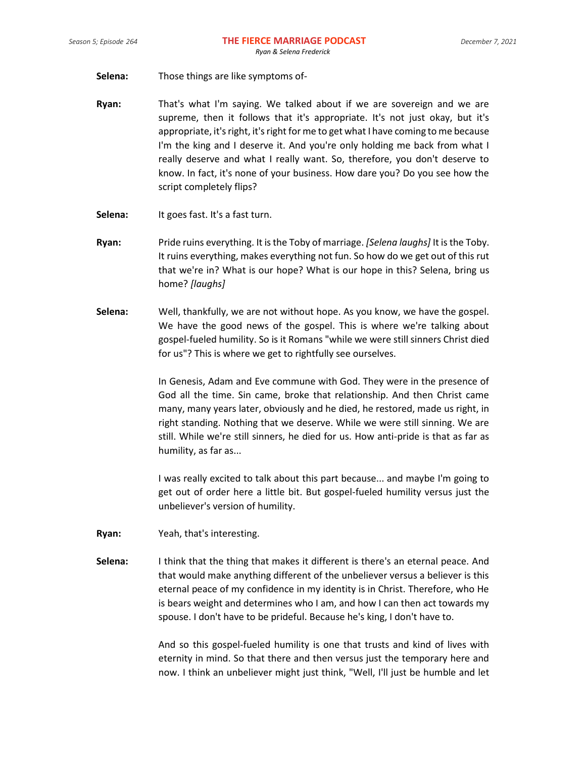- **Selena:** Those things are like symptoms of-
- **Ryan:** That's what I'm saying. We talked about if we are sovereign and we are supreme, then it follows that it's appropriate. It's not just okay, but it's appropriate, it's right, it's right for me to get what I have coming to me because I'm the king and I deserve it. And you're only holding me back from what I really deserve and what I really want. So, therefore, you don't deserve to know. In fact, it's none of your business. How dare you? Do you see how the script completely flips?
- Selena: It goes fast. It's a fast turn.
- **Ryan:** Pride ruins everything. It is the Toby of marriage. *[Selena laughs]* It is the Toby. It ruins everything, makes everything not fun. So how do we get out of this rut that we're in? What is our hope? What is our hope in this? Selena, bring us home? *[laughs]*
- **Selena:** Well, thankfully, we are not without hope. As you know, we have the gospel. We have the good news of the gospel. This is where we're talking about gospel-fueled humility. So is it Romans "while we were still sinners Christ died for us"? This is where we get to rightfully see ourselves.

In Genesis, Adam and Eve commune with God. They were in the presence of God all the time. Sin came, broke that relationship. And then Christ came many, many years later, obviously and he died, he restored, made us right, in right standing. Nothing that we deserve. While we were still sinning. We are still. While we're still sinners, he died for us. How anti-pride is that as far as humility, as far as...

I was really excited to talk about this part because... and maybe I'm going to get out of order here a little bit. But gospel-fueled humility versus just the unbeliever's version of humility.

- **Ryan:** Yeah, that's interesting.
- **Selena:** I think that the thing that makes it different is there's an eternal peace. And that would make anything different of the unbeliever versus a believer is this eternal peace of my confidence in my identity is in Christ. Therefore, who He is bears weight and determines who I am, and how I can then act towards my spouse. I don't have to be prideful. Because he's king, I don't have to.

And so this gospel-fueled humility is one that trusts and kind of lives with eternity in mind. So that there and then versus just the temporary here and now. I think an unbeliever might just think, "Well, I'll just be humble and let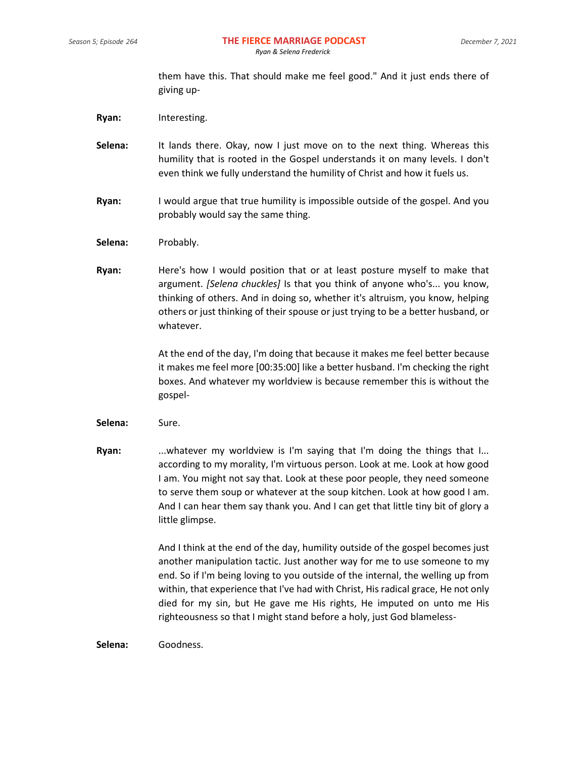them have this. That should make me feel good." And it just ends there of giving up-

**Ryan:** Interesting.

- **Selena:** It lands there. Okay, now I just move on to the next thing. Whereas this humility that is rooted in the Gospel understands it on many levels. I don't even think we fully understand the humility of Christ and how it fuels us.
- **Ryan:** I would argue that true humility is impossible outside of the gospel. And you probably would say the same thing.
- Selena: Probably.
- **Ryan:** Here's how I would position that or at least posture myself to make that argument. *[Selena chuckles]* Is that you think of anyone who's... you know, thinking of others. And in doing so, whether it's altruism, you know, helping others or just thinking of their spouse or just trying to be a better husband, or whatever.

At the end of the day, I'm doing that because it makes me feel better because it makes me feel more [00:35:00] like a better husband. I'm checking the right boxes. And whatever my worldview is because remember this is without the gospel-

- **Selena:** Sure.
- **Ryan:** ...whatever my worldview is I'm saying that I'm doing the things that I... according to my morality, I'm virtuous person. Look at me. Look at how good I am. You might not say that. Look at these poor people, they need someone to serve them soup or whatever at the soup kitchen. Look at how good I am. And I can hear them say thank you. And I can get that little tiny bit of glory a little glimpse.

And I think at the end of the day, humility outside of the gospel becomes just another manipulation tactic. Just another way for me to use someone to my end. So if I'm being loving to you outside of the internal, the welling up from within, that experience that I've had with Christ, His radical grace, He not only died for my sin, but He gave me His rights, He imputed on unto me His righteousness so that I might stand before a holy, just God blameless-

**Selena:** Goodness.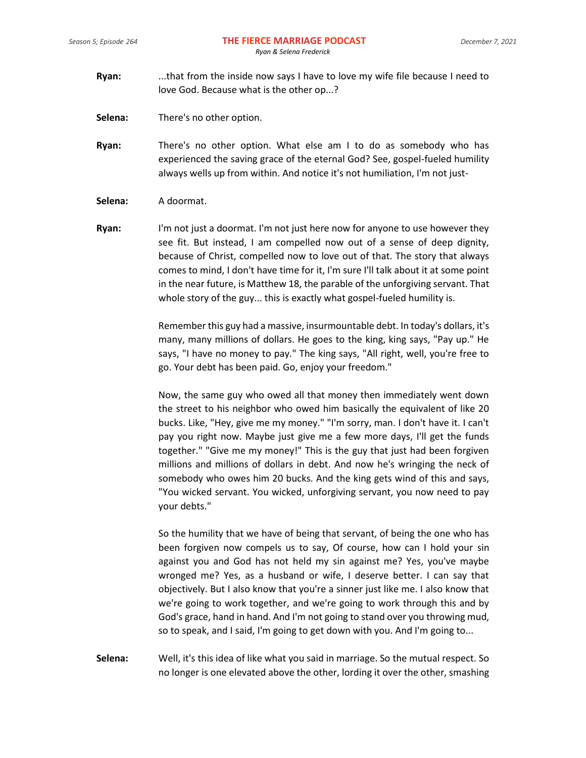- **Ryan:** ...that from the inside now says I have to love my wife file because I need to love God. Because what is the other op...?
- **Selena:** There's no other option.
- **Ryan:** There's no other option. What else am I to do as somebody who has experienced the saving grace of the eternal God? See, gospel-fueled humility always wells up from within. And notice it's not humiliation, I'm not just-
- **Selena:** A doormat.
- **Ryan:** I'm not just a doormat. I'm not just here now for anyone to use however they see fit. But instead, I am compelled now out of a sense of deep dignity, because of Christ, compelled now to love out of that. The story that always comes to mind, I don't have time for it, I'm sure I'll talk about it at some point in the near future, is Matthew 18, the parable of the unforgiving servant. That whole story of the guy... this is exactly what gospel-fueled humility is.

Remember this guy had a massive, insurmountable debt. In today's dollars, it's many, many millions of dollars. He goes to the king, king says, "Pay up." He says, "I have no money to pay." The king says, "All right, well, you're free to go. Your debt has been paid. Go, enjoy your freedom."

Now, the same guy who owed all that money then immediately went down the street to his neighbor who owed him basically the equivalent of like 20 bucks. Like, "Hey, give me my money." "I'm sorry, man. I don't have it. I can't pay you right now. Maybe just give me a few more days, I'll get the funds together." "Give me my money!" This is the guy that just had been forgiven millions and millions of dollars in debt. And now he's wringing the neck of somebody who owes him 20 bucks. And the king gets wind of this and says, "You wicked servant. You wicked, unforgiving servant, you now need to pay your debts."

So the humility that we have of being that servant, of being the one who has been forgiven now compels us to say, Of course, how can I hold your sin against you and God has not held my sin against me? Yes, you've maybe wronged me? Yes, as a husband or wife, I deserve better. I can say that objectively. But I also know that you're a sinner just like me. I also know that we're going to work together, and we're going to work through this and by God's grace, hand in hand. And I'm not going to stand over you throwing mud, so to speak, and I said, I'm going to get down with you. And I'm going to...

**Selena:** Well, it's this idea of like what you said in marriage. So the mutual respect. So no longer is one elevated above the other, lording it over the other, smashing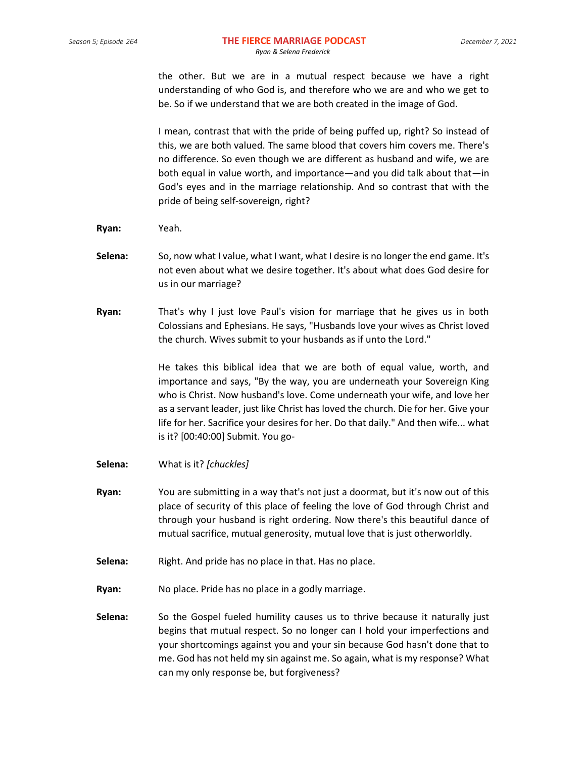the other. But we are in a mutual respect because we have a right understanding of who God is, and therefore who we are and who we get to be. So if we understand that we are both created in the image of God.

I mean, contrast that with the pride of being puffed up, right? So instead of this, we are both valued. The same blood that covers him covers me. There's no difference. So even though we are different as husband and wife, we are both equal in value worth, and importance—and you did talk about that—in God's eyes and in the marriage relationship. And so contrast that with the pride of being self-sovereign, right?

- **Ryan:** Yeah.
- **Selena:** So, now what I value, what I want, what I desire is no longer the end game. It's not even about what we desire together. It's about what does God desire for us in our marriage?
- **Ryan:** That's why I just love Paul's vision for marriage that he gives us in both Colossians and Ephesians. He says, "Husbands love your wives as Christ loved the church. Wives submit to your husbands as if unto the Lord."

He takes this biblical idea that we are both of equal value, worth, and importance and says, "By the way, you are underneath your Sovereign King who is Christ. Now husband's love. Come underneath your wife, and love her as a servant leader, just like Christ has loved the church. Die for her. Give your life for her. Sacrifice your desires for her. Do that daily." And then wife... what is it? [00:40:00] Submit. You go-

- **Selena:** What is it? *[chuckles]*
- **Ryan:** You are submitting in a way that's not just a doormat, but it's now out of this place of security of this place of feeling the love of God through Christ and through your husband is right ordering. Now there's this beautiful dance of mutual sacrifice, mutual generosity, mutual love that is just otherworldly.
- **Selena:** Right. And pride has no place in that. Has no place.
- **Ryan:** No place. Pride has no place in a godly marriage.
- **Selena:** So the Gospel fueled humility causes us to thrive because it naturally just begins that mutual respect. So no longer can I hold your imperfections and your shortcomings against you and your sin because God hasn't done that to me. God has not held my sin against me. So again, what is my response? What can my only response be, but forgiveness?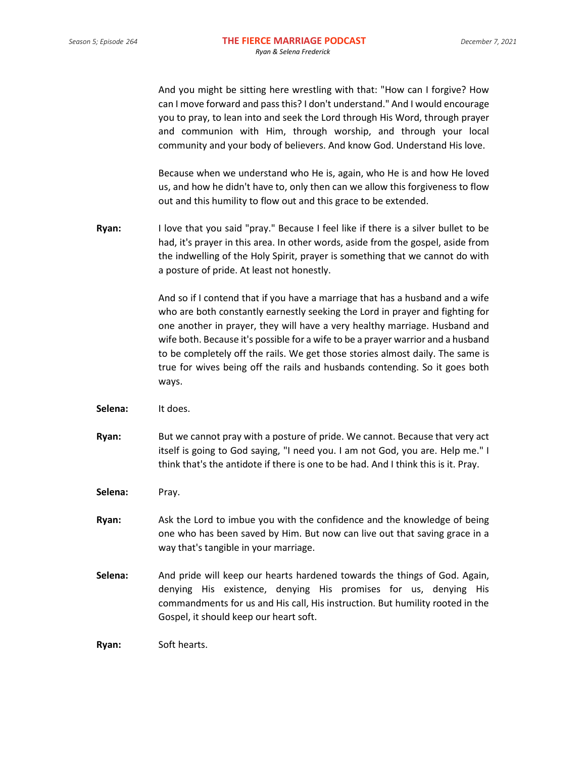And you might be sitting here wrestling with that: "How can I forgive? How can I move forward and pass this? I don't understand." And I would encourage you to pray, to lean into and seek the Lord through His Word, through prayer and communion with Him, through worship, and through your local community and your body of believers. And know God. Understand His love.

Because when we understand who He is, again, who He is and how He loved us, and how he didn't have to, only then can we allow this forgiveness to flow out and this humility to flow out and this grace to be extended.

**Ryan:** I love that you said "pray." Because I feel like if there is a silver bullet to be had, it's prayer in this area. In other words, aside from the gospel, aside from the indwelling of the Holy Spirit, prayer is something that we cannot do with a posture of pride. At least not honestly.

> And so if I contend that if you have a marriage that has a husband and a wife who are both constantly earnestly seeking the Lord in prayer and fighting for one another in prayer, they will have a very healthy marriage. Husband and wife both. Because it's possible for a wife to be a prayer warrior and a husband to be completely off the rails. We get those stories almost daily. The same is true for wives being off the rails and husbands contending. So it goes both ways.

- **Selena:** It does.
- **Ryan:** But we cannot pray with a posture of pride. We cannot. Because that very act itself is going to God saying, "I need you. I am not God, you are. Help me." I think that's the antidote if there is one to be had. And I think this is it. Pray.
- Selena: Pray.
- **Ryan:** Ask the Lord to imbue you with the confidence and the knowledge of being one who has been saved by Him. But now can live out that saving grace in a way that's tangible in your marriage.
- **Selena:** And pride will keep our hearts hardened towards the things of God. Again, denying His existence, denying His promises for us, denying His commandments for us and His call, His instruction. But humility rooted in the Gospel, it should keep our heart soft.

**Ryan:** Soft hearts.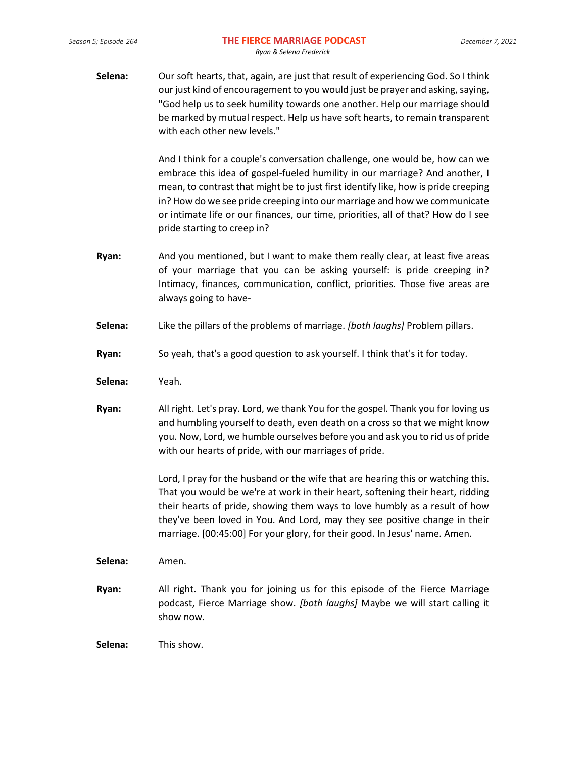**Selena:** Our soft hearts, that, again, are just that result of experiencing God. So I think our just kind of encouragement to you would just be prayer and asking, saying, "God help us to seek humility towards one another. Help our marriage should be marked by mutual respect. Help us have soft hearts, to remain transparent with each other new levels."

> And I think for a couple's conversation challenge, one would be, how can we embrace this idea of gospel-fueled humility in our marriage? And another, I mean, to contrast that might be to just first identify like, how is pride creeping in? How do we see pride creeping into our marriage and how we communicate or intimate life or our finances, our time, priorities, all of that? How do I see pride starting to creep in?

- **Ryan:** And you mentioned, but I want to make them really clear, at least five areas of your marriage that you can be asking yourself: is pride creeping in? Intimacy, finances, communication, conflict, priorities. Those five areas are always going to have-
- **Selena:** Like the pillars of the problems of marriage. *[both laughs]* Problem pillars.
- **Ryan:** So yeah, that's a good question to ask yourself. I think that's it for today.
- **Selena:** Yeah.
- **Ryan:** All right. Let's pray. Lord, we thank You for the gospel. Thank you for loving us and humbling yourself to death, even death on a cross so that we might know you. Now, Lord, we humble ourselves before you and ask you to rid us of pride with our hearts of pride, with our marriages of pride.

Lord, I pray for the husband or the wife that are hearing this or watching this. That you would be we're at work in their heart, softening their heart, ridding their hearts of pride, showing them ways to love humbly as a result of how they've been loved in You. And Lord, may they see positive change in their marriage. [00:45:00] For your glory, for their good. In Jesus' name. Amen.

**Selena:** Amen.

**Ryan:** All right. Thank you for joining us for this episode of the Fierce Marriage podcast, Fierce Marriage show. *[both laughs]* Maybe we will start calling it show now.

**Selena:** This show.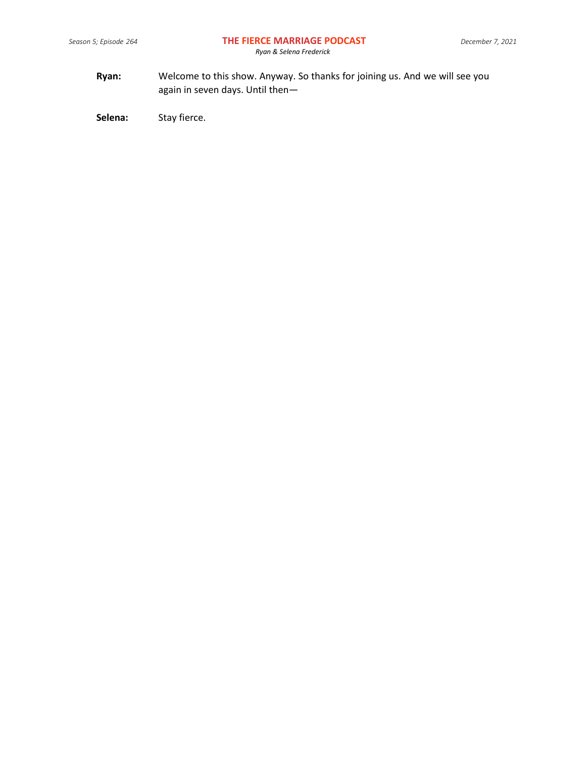**Ryan:** Welcome to this show. Anyway. So thanks for joining us. And we will see you again in seven days. Until then—

Selena: Stay fierce.